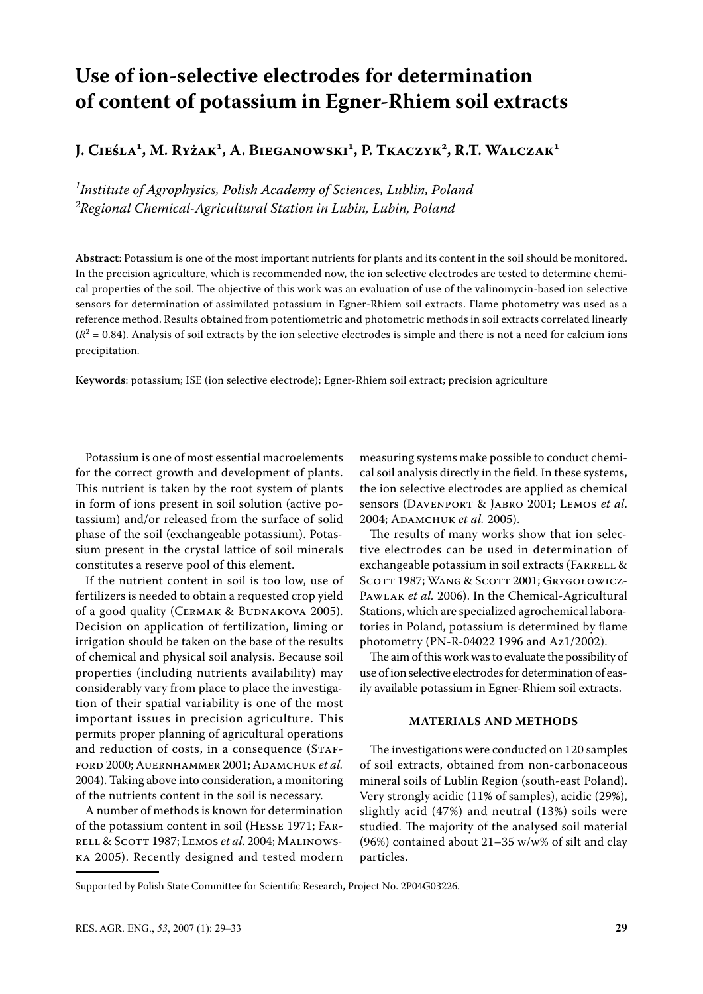# **Use of ion-selective electrodes for determination of content of potassium in Egner-Rhiem soil extracts**

**J. Cieśla1 , M. Ryżak1 , A. Bieganowski1 , P. Tkaczyk2 , R.T. Walczak1**

*1 Institute of Agrophysics, Polish Academy of Sciences, Lublin, Poland 2 Regional Chemical-Agricultural Station in Lubin, Lubin, Poland*

**Abstract**: Potassium is one of the most important nutrients for plants and its content in the soil should be monitored. In the precision agriculture, which is recommended now, the ion selective electrodes are tested to determine chemical properties of the soil. The objective of this work was an evaluation of use of the valinomycin-based ion selective sensors for determination of assimilated potassium in Egner-Rhiem soil extracts. Flame photometry was used as a reference method. Results obtained from potentiometric and photometric methods in soil extracts correlated linearly  $(R^2 = 0.84)$ . Analysis of soil extracts by the ion selective electrodes is simple and there is not a need for calcium ions precipitation.

**Keywords**: potassium; ISE (ion selective electrode); Egner-Rhiem soil extract; precision agriculture

Potassium is one of most essential macroelements for the correct growth and development of plants. This nutrient is taken by the root system of plants in form of ions present in soil solution (active potassium) and/or released from the surface of solid phase of the soil (exchangeable potassium). Potassium present in the crystal lattice of soil minerals constitutes a reserve pool of this element.

If the nutrient content in soil is too low, use of fertilizers is needed to obtain a requested crop yield of a good quality (CERMAK & BUDNAKOVA 2005). Decision on application of fertilization, liming or irrigation should be taken on the base of the results of chemical and physical soil analysis. Because soil properties (including nutrients availability) may considerably vary from place to place the investigation of their spatial variability is one of the most important issues in precision agriculture. This permits proper planning of agricultural operations and reduction of costs, in a consequence (STAFford 2000; Auernhammer 2001; Adamchuk *et al.* 2004). Taking above into consideration, a monitoring of the nutrients content in the soil is necessary.

A number of methods is known for determination of the potassium content in soil (Hesse 1971; Farrell & Scott 1987; Lemos *et al*. 2004; Malinowska 2005). Recently designed and tested modern

measuring systems make possible to conduct chemical soil analysis directly in the field. In these systems, the ion selective electrodes are applied as chemical sensors (Davenport & Jabro 2001; Lemos *et al*. 2004; Adamchuk *et al.* 2005).

The results of many works show that ion selective electrodes can be used in determination of exchangeable potassium in soil extracts (FARRELL & SCOTT 1987; WANG & SCOTT 2001; GRYGOŁOWICZ-Pawlak *et al.* 2006). In the Chemical-Agricultural Stations, which are specialized agrochemical laboratories in Poland, potassium is determined by flame photometry (PN-R-04022 1996 and Az1/2002).

The aim of this work was to evaluate the possibility of use of ion selective electrodes for determination of easily available potassium in Egner-Rhiem soil extracts.

## **MATERIALS AND METHODS**

The investigations were conducted on 120 samples of soil extracts, obtained from non-carbonaceous mineral soils of Lublin Region (south-east Poland). Very strongly acidic (11% of samples), acidic (29%), slightly acid (47%) and neutral (13%) soils were studied. The majority of the analysed soil material (96%) contained about 21–35 w/w% of silt and clay particles.

Supported by Polish State Committee for Scientific Research, Project No. 2P04G03226.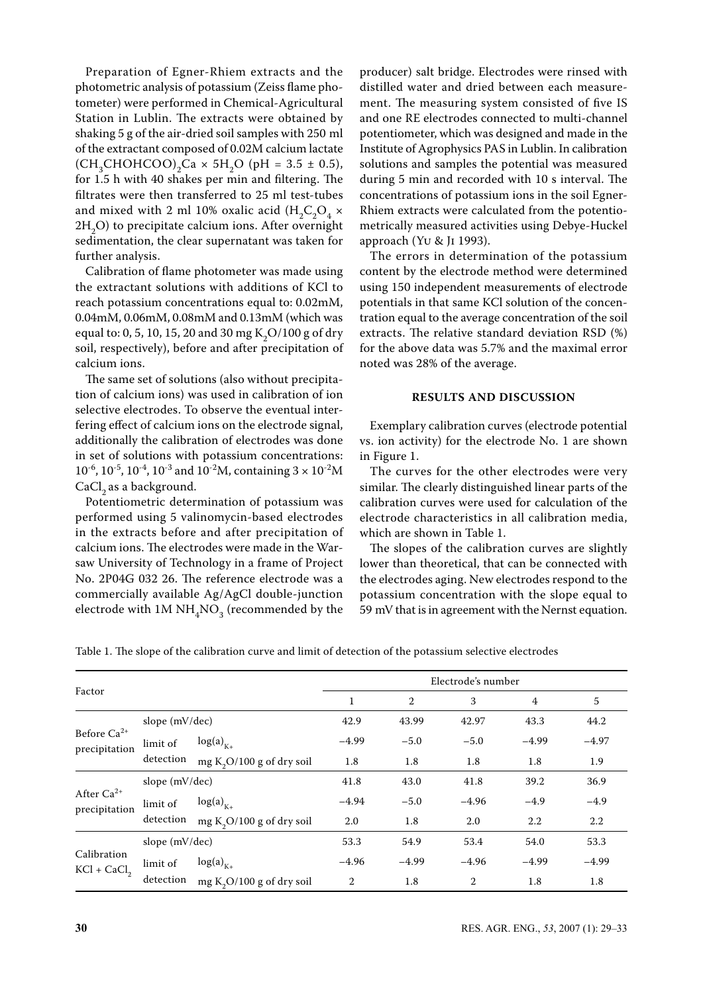Preparation of Egner-Rhiem extracts and the photometric analysis of potassium (Zeiss flame photometer) were performed in Chemical-Agricultural Station in Lublin. The extracts were obtained by shaking 5 g of the air-dried soil samples with 250 ml of the extractant composed of 0.02M calcium lactate  $\text{(CH}_{3}CHOHCOO)_{2}\text{Ca} \times 5\text{H}_{2}\text{O} \text{ (pH = 3.5 \pm 0.5),}$ for 1.5 h with 40 shakes per min and filtering. The filtrates were then transferred to 25 ml test-tubes and mixed with 2 ml 10% oxalic acid  $(H_2C_2O_4 \times$  $2H<sub>2</sub>O$ ) to precipitate calcium ions. After overnight sedimentation, the clear supernatant was taken for further analysis.

Calibration of flame photometer was made using the extractant solutions with additions of KCl to reach potassium concentrations equal to: 0.02mM, 0.04mM, 0.06mM, 0.08mM and 0.13mM (which was equal to: 0, 5, 10, 15, 20 and 30 mg K<sub>2</sub>O/100 g of dry soil, respectively), before and after precipitation of calcium ions.

The same set of solutions (also without precipitation of calcium ions) was used in calibration of ion selective electrodes. To observe the eventual interfering effect of calcium ions on the electrode signal, additionally the calibration of electrodes was done in set of solutions with potassium concentrations:  $10^{-6}$ ,  $10^{-5}$ ,  $10^{-4}$ ,  $10^{-3}$  and  $10^{-2}$ M, containing  $3 \times 10^{-2}$ M CaCl<sub>2</sub> as a background.

Potentiometric determination of potassium was performed using 5 valinomycin-based electrodes in the extracts before and after precipitation of calcium ions. The electrodes were made in the Warsaw University of Technology in a frame of Project No. 2P04G 032 26. The reference electrode was a commercially available Ag/AgCl double-junction electrode with 1M  $\mathrm{NH}_4\mathrm{NO}_3$  (recommended by the

producer) salt bridge. Electrodes were rinsed with distilled water and dried between each measurement. The measuring system consisted of five IS and one RE electrodes connected to multi-channel potentiometer, which was designed and made in the Institute of Agrophysics PAS in Lublin. In calibration solutions and samples the potential was measured during 5 min and recorded with 10 s interval. The concentrations of potassium ions in the soil Egner-Rhiem extracts were calculated from the potentiometrically measured activities using Debye-Huckel approach (Yu & Ji 1993).

The errors in determination of the potassium content by the electrode method were determined using 150 independent measurements of electrode potentials in that same KCl solution of the concentration equal to the average concentration of the soil extracts. The relative standard deviation RSD (%) for the above data was 5.7% and the maximal error noted was 28% of the average.

### **RESULTS AND DISCUSSION**

Exemplary calibration curves (electrode potential vs. ion activity) for the electrode No. 1 are shown in Figure 1.

The curves for the other electrodes were very similar. The clearly distinguished linear parts of the calibration curves were used for calculation of the electrode characteristics in all calibration media, which are shown in Table 1.

The slopes of the calibration curves are slightly lower than theoretical, that can be connected with the electrodes aging. New electrodes respond to the potassium concentration with the slope equal to 59 mV that is in agreement with the Nernst equation.

Table 1. The slope of the calibration curve and limit of detection of the potassium selective electrodes

| Factor                            |                       |                                       | Electrode's number |                |                |                |         |
|-----------------------------------|-----------------------|---------------------------------------|--------------------|----------------|----------------|----------------|---------|
|                                   |                       |                                       | 1                  | $\overline{2}$ | 3              | $\overline{4}$ | 5       |
| Before $Ca^{2+}$<br>precipitation | slope (mV/dec)        |                                       | 42.9               | 43.99          | 42.97          | 43.3           | 44.2    |
|                                   | limit of<br>detection | $log(a)_{K+}$                         | $-4.99$            | $-5.0$         | $-5.0$         | $-4.99$        | $-4.97$ |
|                                   |                       | mg $K_2O/100$ g of dry soil           | 1.8                | 1.8            | 1.8            | 1.8            | 1.9     |
| After $Ca^{2+}$<br>precipitation  | slope (mV/dec)        |                                       | 41.8               | 43.0           | 41.8           | 39.2           | 36.9    |
|                                   | limit of<br>detection | $log(a)_{K+}$                         | $-4.94$            | $-5.0$         | $-4.96$        | $-4.9$         | $-4.9$  |
|                                   |                       | mg $K_2O/100$ g of dry soil           | 2.0                | 1.8            | 2.0            | 2.2            | 2.2     |
| Calibration<br>$KCl + CaCl2$      | slope (mV/dec)        |                                       | 53.3               | 54.9           | 53.4           | 54.0           | 53.3    |
|                                   | limit of<br>detection | $log(a)_{K+}$                         | $-4.96$            | $-4.99$        | $-4.96$        | $-4.99$        | $-4.99$ |
|                                   |                       | mg K <sub>2</sub> O/100 g of dry soil | $\overline{2}$     | 1.8            | $\overline{2}$ | 1.8            | 1.8     |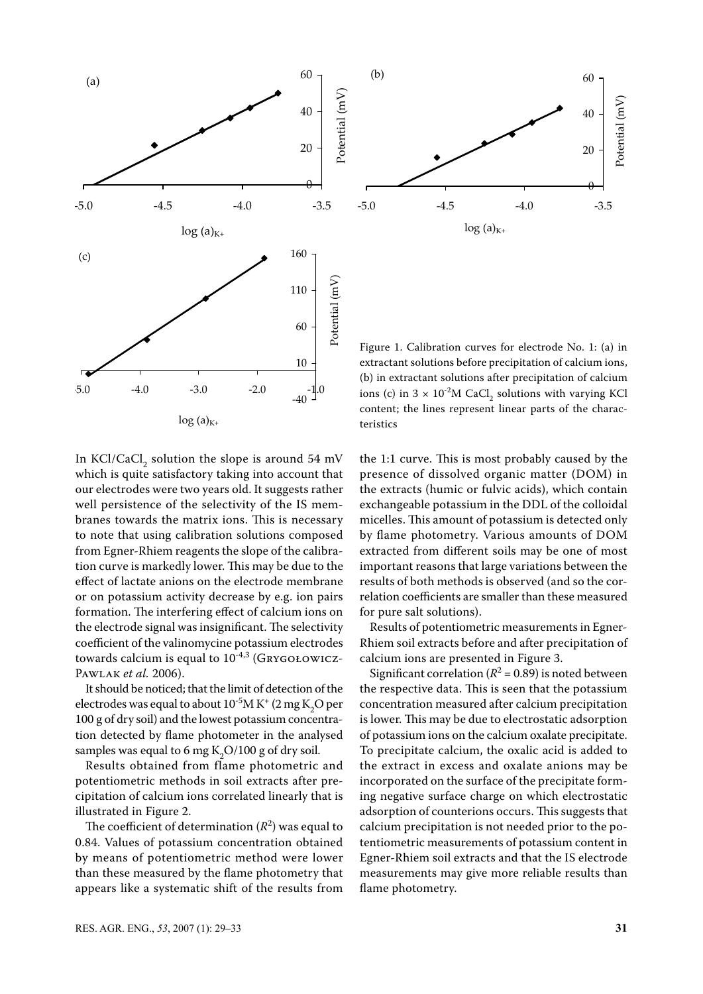



Figure 1. Calibration curves for electrode No. 1: (a) in extractant solutions before precipitation of calcium ions, (b) in extractant solutions after precipitation of calcium ions (c) in  $3 \times 10^{2}$ M CaCl<sub>2</sub> solutions with varying KCl content; the lines represent linear parts of the characteristics

In KCl/CaCl<sub>2</sub> solution the slope is around 54 mV which is quite satisfactory taking into account that our electrodes were two years old. It suggests rather well persistence of the selectivity of the IS membranes towards the matrix ions. This is necessary to note that using calibration solutions composed from Egner-Rhiem reagents the slope of the calibration curve is markedly lower. This may be due to the effect of lactate anions on the electrode membrane or on potassium activity decrease by e.g. ion pairs formation. The interfering effect of calcium ions on the electrode signal was insignificant. The selectivity coefficient of the valinomycine potassium electrodes towards calcium is equal to  $10^{-4,3}$  (GRYGOŁOWICZ-Pawlak *et al.* 2006).

It should be noticed; that the limit of detection of the electrodes was equal to about  $10^{-5}M K^+$  (2 mg  $K_2O$  per 100 g of dry soil) and the lowest potassium concentration detected by flame photometer in the analysed samples was equal to 6 mg  $K_2O/100$  g of dry soil.

Results obtained from flame photometric and potentiometric methods in soil extracts after precipitation of calcium ions correlated linearly that is illustrated in Figure 2.

The coefficient of determination  $(R^2)$  was equal to 0.84. Values of potassium concentration obtained by means of potentiometric method were lower than these measured by the flame photometry that appears like a systematic shift of the results from

the 1:1 curve. This is most probably caused by the presence of dissolved organic matter (DOM) in the extracts (humic or fulvic acids), which contain exchangeable potassium in the DDL of the colloidal micelles. This amount of potassium is detected only by flame photometry. Various amounts of DOM extracted from different soils may be one of most important reasons that large variations between the results of both methods is observed (and so the correlation coefficients are smaller than these measured for pure salt solutions).

Results of potentiometric measurements in Egner-Rhiem soil extracts before and after precipitation of calcium ions are presented in Figure 3.

Significant correlation ( $R^2$  = 0.89) is noted between the respective data. This is seen that the potassium concentration measured after calcium precipitation is lower. This may be due to electrostatic adsorption of potassium ions on the calcium oxalate precipitate. To precipitate calcium, the oxalic acid is added to the extract in excess and oxalate anions may be incorporated on the surface of the precipitate forming negative surface charge on which electrostatic adsorption of counterions occurs. This suggests that calcium precipitation is not needed prior to the potentiometric measurements of potassium content in Egner-Rhiem soil extracts and that the IS electrode measurements may give more reliable results than flame photometry.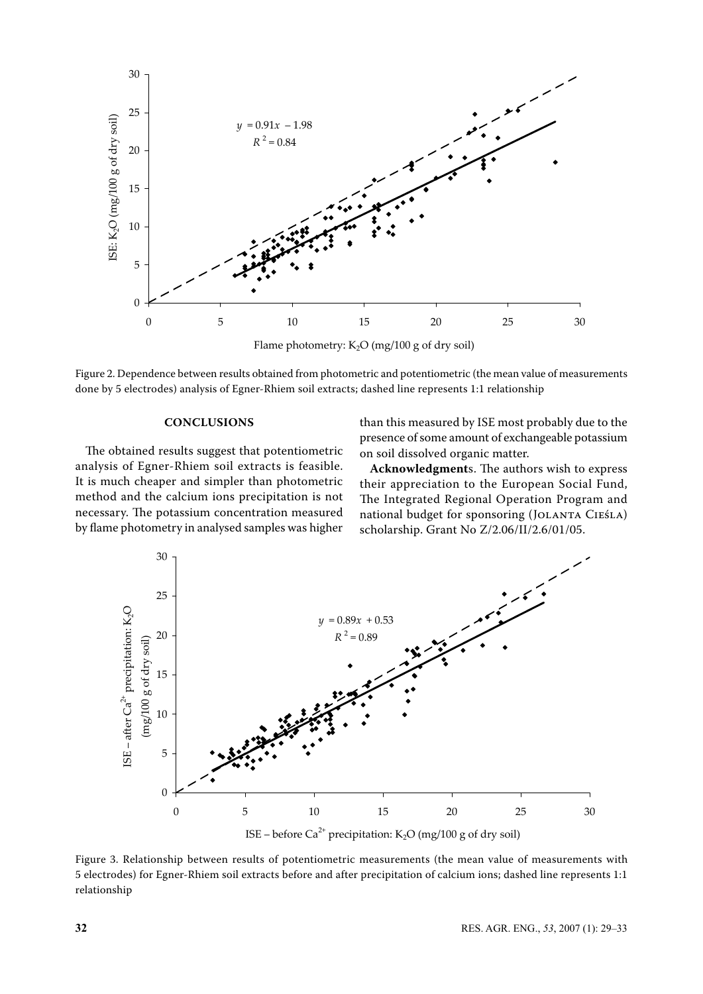

Figure 2. Dependence between results obtained from photometric and potentiometric (the mean value of measurements done by 5 electrodes) analysis of Egner-Rhiem soil extracts; dashed line represents 1:1 relationship

## **Conclusions**

The obtained results suggest that potentiometric analysis of Egner-Rhiem soil extracts is feasible. It is much cheaper and simpler than photometric method and the calcium ions precipitation is not necessary. The potassium concentration measured by flame photometry in analysed samples was higher than this measured by ISE most probably due to the presence of some amount of exchangeable potassium on soil dissolved organic matter.

**Acknowledgment**s. The authors wish to express their appreciation to the European Social Fund, The Integrated Regional Operation Program and national budget for sponsoring (JOLANTA CIEŚLA) scholarship. Grant No Z/2.06/II/2.6/01/05.



Figure 3. Relationship between results of potentiometric measurements (the mean value of measurements with 5 electrodes) for Egner-Rhiem soil extracts before and after precipitation of calcium ions; dashed line represents 1:1 relationship